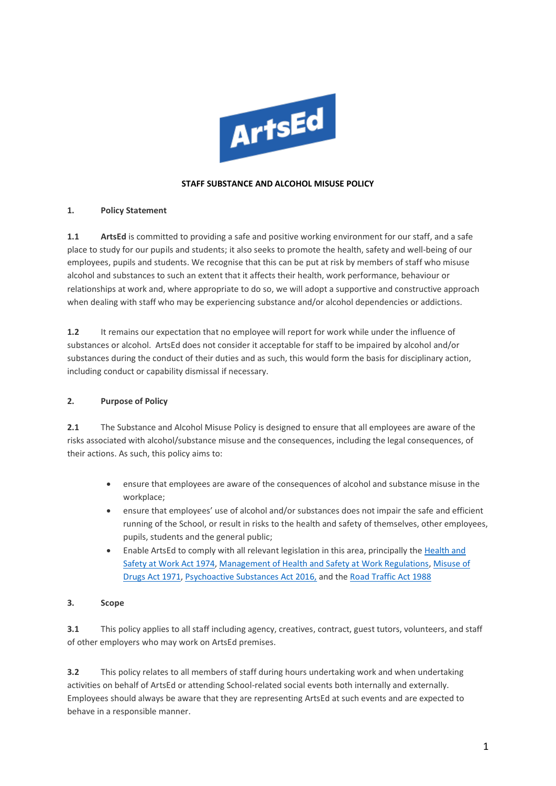

#### **STAFF SUBSTANCE AND ALCOHOL MISUSE POLICY**

#### **1. Policy Statement**

**1.1 ArtsEd** is committed to providing a safe and positive working environment for our staff, and a safe place to study for our pupils and students; it also seeks to promote the health, safety and well-being of our employees, pupils and students. We recognise that this can be put at risk by members of staff who misuse alcohol and substances to such an extent that it affects their health, work performance, behaviour or relationships at work and, where appropriate to do so, we will adopt a supportive and constructive approach when dealing with staff who may be experiencing substance and/or alcohol dependencies or addictions.

**1.2** It remains our expectation that no employee will report for work while under the influence of substances or alcohol. ArtsEd does not consider it acceptable for staff to be impaired by alcohol and/or substances during the conduct of their duties and as such, this would form the basis for disciplinary action, including conduct or capability dismissal if necessary.

#### **2. Purpose of Policy**

**2.1** The Substance and Alcohol Misuse Policy is designed to ensure that all employees are aware of the risks associated with alcohol/substance misuse and the consequences, including the legal consequences, of their actions. As such, this policy aims to:

- ensure that employees are aware of the consequences of alcohol and substance misuse in the workplace;
- ensure that employees' use of alcohol and/or substances does not impair the safe and efficient running of the School, or result in risks to the health and safety of themselves, other employees, pupils, students and the general public;
- Enable ArtsEd to comply with all relevant legislation in this area, principally th[e Health and](https://www.legislation.gov.uk/ukpga/1974/37/contents)  [Safety at Work Act 1974,](https://www.legislation.gov.uk/ukpga/1974/37/contents) Management [of Health and Safety at Work Regulations,](https://www.legislation.gov.uk/uksi/1999/3242/contents/made) [Misuse of](https://www.legislation.gov.uk/ukpga/1971/38/contents) [Drugs Act 1971,](https://www.legislation.gov.uk/ukpga/1971/38/contents) [Psychoactive Substances Act 2016,](https://www.legislation.gov.uk/ukpga/2016/2/contents/enacted) and the [Road Traffic Act 1988](https://www.legislation.gov.uk/ukpga/1988/52/contents)

#### **3. Scope**

**3.1** This policy applies to all staff including agency, creatives, contract, guest tutors, volunteers, and staff of other employers who may work on ArtsEd premises.

**3.2** This policy relates to all members of staff during hours undertaking work and when undertaking activities on behalf of ArtsEd or attending School-related social events both internally and externally. Employees should always be aware that they are representing ArtsEd at such events and are expected to behave in a responsible manner.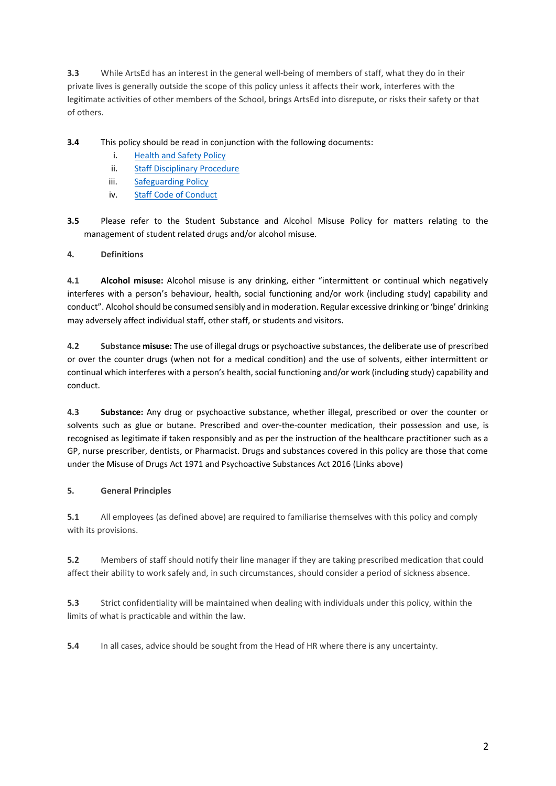**3.3** While ArtsEd has an interest in the general well-being of members of staff, what they do in their private lives is generally outside the scope of this policy unless it affects their work, interferes with the legitimate activities of other members of the School, brings ArtsEd into disrepute, or risks their safety or that of others.

**3.4** This policy should be read in conjunction with the following documents:

- i. [Health and Safety Policy](https://artsed003.blob.core.windows.net/policy/health-and-safety-policy.pdf)
- ii. [Staff Disciplinary Procedure](https://artsed003.blob.core.windows.net/policy/disciplinary-procedure.pdf)
- iii. [Safeguarding Policy](https://artsed003.blob.core.windows.net/policy/safeguarding-policy.pdf)
- iv. [Staff Code of Conduct](https://artsed003.blob.core.windows.net/policy/staff-code-of-conduct.pdf)

**3.5** Please refer to the Student Substance and Alcohol Misuse Policy for matters relating to the management of student related drugs and/or alcohol misuse.

**4. Definitions**

**4.1 Alcohol misuse:** Alcohol misuse is any drinking, either "intermittent or continual which negatively interferes with a person's behaviour, health, social functioning and/or work (including study) capability and conduct". Alcohol should be consumed sensibly and in moderation. Regular excessive drinking or 'binge' drinking may adversely affect individual staff, other staff, or students and visitors.

**4.2 Substance misuse:** The use of illegal drugs or psychoactive substances, the deliberate use of prescribed or over the counter drugs (when not for a medical condition) and the use of solvents, either intermittent or continual which interferes with a person's health, social functioning and/or work (including study) capability and conduct.

**4.3 Substance:** Any drug or psychoactive substance, whether illegal, prescribed or over the counter or solvents such as glue or butane. Prescribed and over-the-counter medication, their possession and use, is recognised as legitimate if taken responsibly and as per the instruction of the healthcare practitioner such as a GP, nurse prescriber, dentists, or Pharmacist. Drugs and substances covered in this policy are those that come under the Misuse of Drugs Act 1971 and Psychoactive Substances Act 2016 (Links above)

#### **5. General Principles**

**5.1** All employees (as defined above) are required to familiarise themselves with this policy and comply with its provisions.

**5.2** Members of staff should notify their line manager if they are taking prescribed medication that could affect their ability to work safely and, in such circumstances, should consider a period of sickness absence.

**5.3** Strict confidentiality will be maintained when dealing with individuals under this policy, within the limits of what is practicable and within the law.

**5.4** In all cases, advice should be sought from the Head of HR where there is any uncertainty.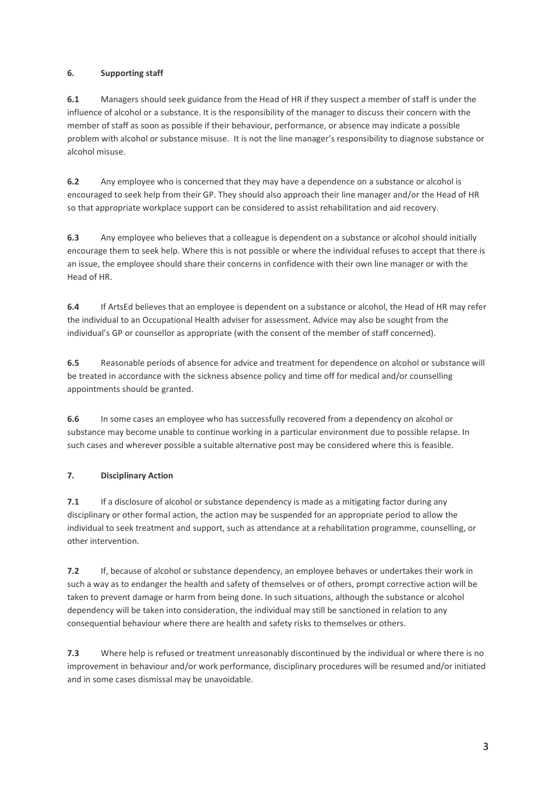## **6. Supporting staff**

**6.1** Managers should seek guidance from the Head of HR if they suspect a member of staff is under the influence of alcohol or a substance. It is the responsibility of the manager to discuss their concern with the member of staff as soon as possible if their behaviour, performance, or absence may indicate a possible problem with alcohol or substance misuse. It is not the line manager's responsibility to diagnose substance or alcohol misuse.

**6.2** Any employee who is concerned that they may have a dependence on a substance or alcohol is encouraged to seek help from their GP. They should also approach their line manager and/or the Head of HR so that appropriate workplace support can be considered to assist rehabilitation and aid recovery.

**6.3** Any employee who believes that a colleague is dependent on a substance or alcohol should initially encourage them to seek help. Where this is not possible or where the individual refuses to accept that there is an issue, the employee should share their concerns in confidence with their own line manager or with the Head of HR.

**6.4** If ArtsEd believes that an employee is dependent on a substance or alcohol, the Head of HR may refer the individual to an Occupational Health adviser for assessment. Advice may also be sought from the individual's GP or counsellor as appropriate (with the consent of the member of staff concerned).

**6.5** Reasonable periods of absence for advice and treatment for dependence on alcohol or substance will be treated in accordance with the sickness absence policy and time off for medical and/or counselling appointments should be granted.

**6.6** In some cases an employee who has successfully recovered from a dependency on alcohol or substance may become unable to continue working in a particular environment due to possible relapse. In such cases and wherever possible a suitable alternative post may be considered where this is feasible.

## **7. Disciplinary Action**

**7.1** If a disclosure of alcohol or substance dependency is made as a mitigating factor during any disciplinary or other formal action, the action may be suspended for an appropriate period to allow the individual to seek treatment and support, such as attendance at a rehabilitation programme, counselling, or other intervention.

**7.2** If, because of alcohol or substance dependency, an employee behaves or undertakes their work in such a way as to endanger the health and safety of themselves or of others, prompt corrective action will be taken to prevent damage or harm from being done. In such situations, although the substance or alcohol dependency will be taken into consideration, the individual may still be sanctioned in relation to any consequential behaviour where there are health and safety risks to themselves or others.

**7.3** Where help is refused or treatment unreasonably discontinued by the individual or where there is no improvement in behaviour and/or work performance, disciplinary procedures will be resumed and/or initiated and in some cases dismissal may be unavoidable.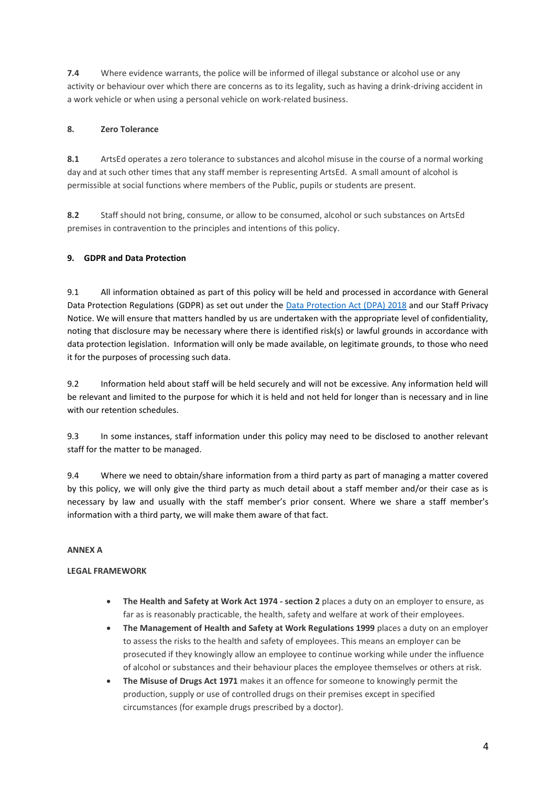**7.4** Where evidence warrants, the police will be informed of illegal substance or alcohol use or any activity or behaviour over which there are concerns as to its legality, such as having a drink-driving accident in a work vehicle or when using a personal vehicle on work-related business.

## **8. Zero Tolerance**

**8.1** ArtsEd operates a zero tolerance to substances and alcohol misuse in the course of a normal working day and at such other times that any staff member is representing ArtsEd. A small amount of alcohol is permissible at social functions where members of the Public, pupils or students are present.

**8.2** Staff should not bring, consume, or allow to be consumed, alcohol or such substances on ArtsEd premises in contravention to the principles and intentions of this policy.

# **9. GDPR and Data Protection**

9.1 All information obtained as part of this policy will be held and processed in accordance with General Data Protection Regulations (GDPR) as set out under the **Data Protection Act (DPA) 2018** and our Staff Privacy Notice. We will ensure that matters handled by us are undertaken with the appropriate level of confidentiality, noting that disclosure may be necessary where there is identified risk(s) or lawful grounds in accordance with data protection legislation. Information will only be made available, on legitimate grounds, to those who need it for the purposes of processing such data.

9.2 Information held about staff will be held securely and will not be excessive. Any information held will be relevant and limited to the purpose for which it is held and not held for longer than is necessary and in line with our retention schedules.

9.3 In some instances, staff information under this policy may need to be disclosed to another relevant staff for the matter to be managed.

9.4 Where we need to obtain/share information from a third party as part of managing a matter covered by this policy, we will only give the third party as much detail about a staff member and/or their case as is necessary by law and usually with the staff member's prior consent. Where we share a staff member's information with a third party, we will make them aware of that fact.

## **ANNEX A**

## **LEGAL FRAMEWORK**

- **The Health and Safety at Work Act 1974 - section 2** places a duty on an employer to ensure, as far as is reasonably practicable, the health, safety and welfare at work of their employees.
- **The Management of Health and Safety at Work Regulations 1999** places a duty on an employer to assess the risks to the health and safety of employees. This means an employer can be prosecuted if they knowingly allow an employee to continue working while under the influence of alcohol or substances and their behaviour places the employee themselves or others at risk.
- **The Misuse of Drugs Act 1971** makes it an offence for someone to knowingly permit the production, supply or use of controlled drugs on their premises except in specified circumstances (for example drugs prescribed by a doctor).